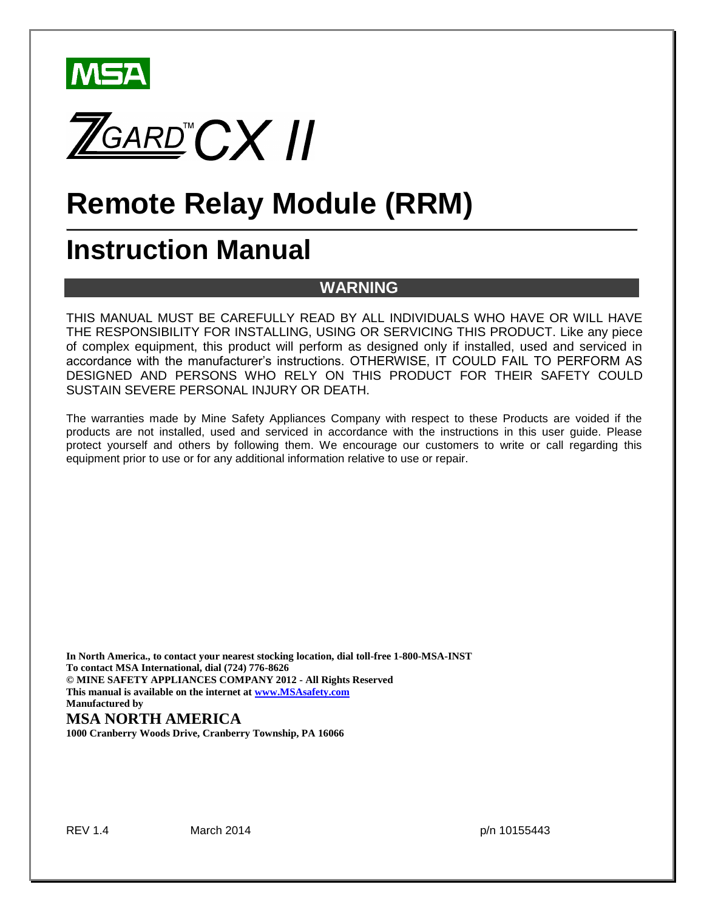



# **Remote Relay Module (RRM)**

# **Instruction Manual**

## **WARNING**

THIS MANUAL MUST BE CAREFULLY READ BY ALL INDIVIDUALS WHO HAVE OR WILL HAVE THE RESPONSIBILITY FOR INSTALLING, USING OR SERVICING THIS PRODUCT. Like any piece of complex equipment, this product will perform as designed only if installed, used and serviced in accordance with the manufacturer's instructions. OTHERWISE, IT COULD FAIL TO PERFORM AS DESIGNED AND PERSONS WHO RELY ON THIS PRODUCT FOR THEIR SAFETY COULD SUSTAIN SEVERE PERSONAL INJURY OR DEATH.

The warranties made by Mine Safety Appliances Company with respect to these Products are voided if the products are not installed, used and serviced in accordance with the instructions in this user guide. Please protect yourself and others by following them. We encourage our customers to write or call regarding this equipment prior to use or for any additional information relative to use or repair.

**In North America., to contact your nearest stocking location, dial toll-free 1-800-MSA-INST To contact MSA International, dial (724) 776-8626 © MINE SAFETY APPLIANCES COMPANY 2012 - All Rights Reserved This manual is available on the internet at www.MSAsafety.com Manufactured by**

### **MSA NORTH AMERICA**

**1000 Cranberry Woods Drive, Cranberry Township, PA 16066**

REV 1.4 March 2014 **March 2014 p/n 10155443**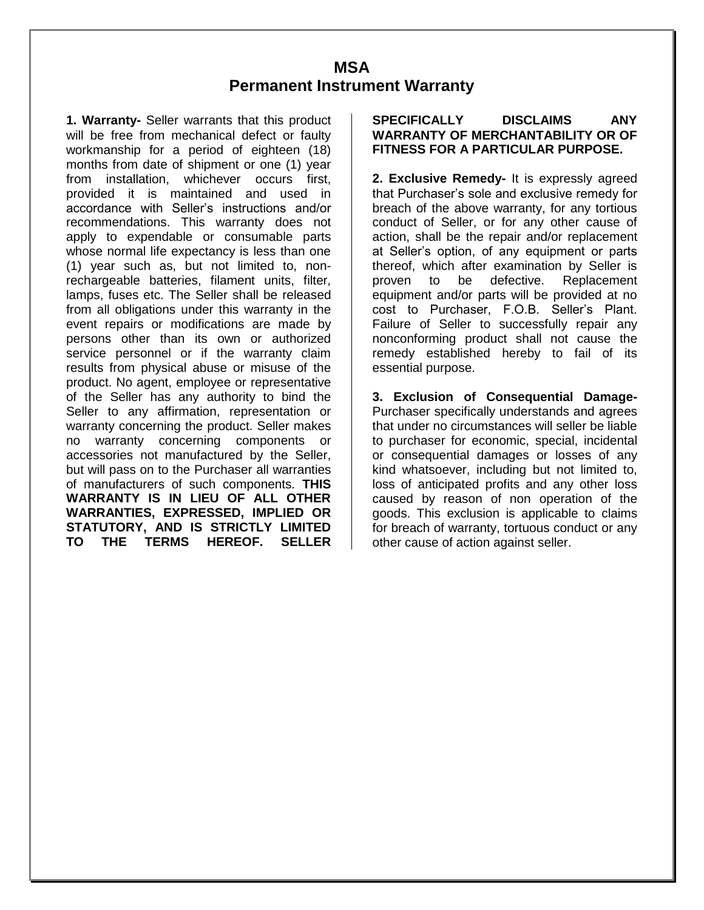## **MSA Permanent Instrument Warranty**

**1. Warranty-** Seller warrants that this product will be free from mechanical defect or faulty workmanship for a period of eighteen (18) months from date of shipment or one (1) year from installation, whichever occurs first, provided it is maintained and used in accordance with Seller's instructions and/or recommendations. This warranty does not apply to expendable or consumable parts whose normal life expectancy is less than one (1) year such as, but not limited to, nonrechargeable batteries, filament units, filter, lamps, fuses etc. The Seller shall be released from all obligations under this warranty in the event repairs or modifications are made by persons other than its own or authorized service personnel or if the warranty claim results from physical abuse or misuse of the product. No agent, employee or representative of the Seller has any authority to bind the Seller to any affirmation, representation or warranty concerning the product. Seller makes no warranty concerning components or accessories not manufactured by the Seller, but will pass on to the Purchaser all warranties of manufacturers of such components. **THIS WARRANTY IS IN LIEU OF ALL OTHER WARRANTIES, EXPRESSED, IMPLIED OR STATUTORY, AND IS STRICTLY LIMITED TO THE TERMS HEREOF. SELLER** 

#### **SPECIFICALLY DISCLAIMS ANY WARRANTY OF MERCHANTABILITY OR OF FITNESS FOR A PARTICULAR PURPOSE.**

**2. Exclusive Remedy-** It is expressly agreed that Purchaser's sole and exclusive remedy for breach of the above warranty, for any tortious conduct of Seller, or for any other cause of action, shall be the repair and/or replacement at Seller's option, of any equipment or parts thereof, which after examination by Seller is proven to be defective. Replacement equipment and/or parts will be provided at no cost to Purchaser, F.O.B. Seller's Plant. Failure of Seller to successfully repair any nonconforming product shall not cause the remedy established hereby to fail of its essential purpose.

**3. Exclusion of Consequential Damage-**Purchaser specifically understands and agrees that under no circumstances will seller be liable to purchaser for economic, special, incidental or consequential damages or losses of any kind whatsoever, including but not limited to, loss of anticipated profits and any other loss caused by reason of non operation of the goods. This exclusion is applicable to claims for breach of warranty, tortuous conduct or any other cause of action against seller.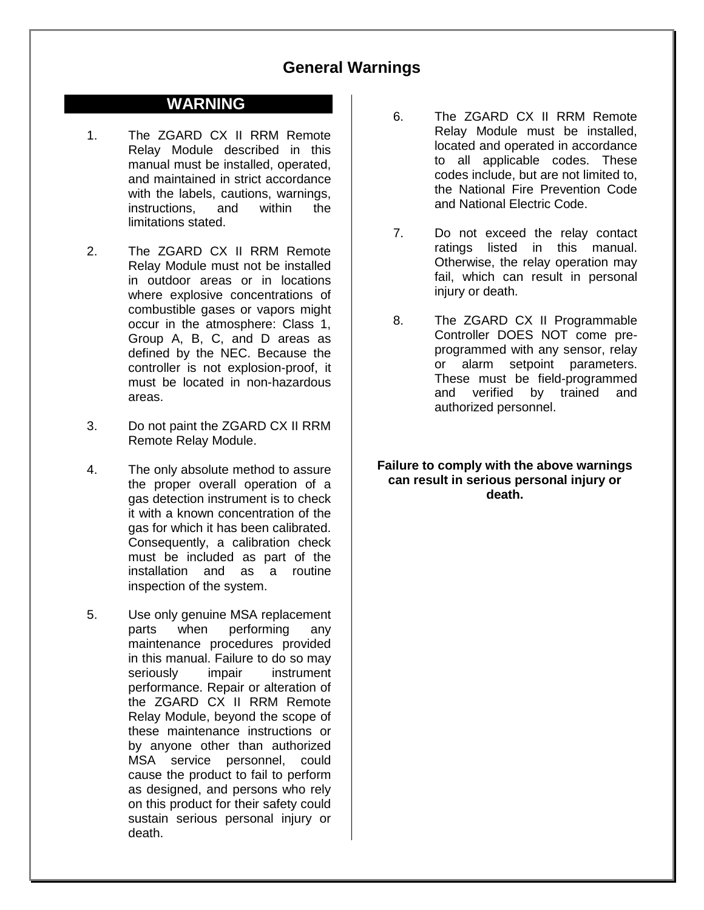## **General Warnings**

### **WARNING**

- 1. The ZGARD CX II RRM Remote Relay Module described in this manual must be installed, operated, and maintained in strict accordance with the labels, cautions, warnings, instructions, and within the limitations stated.
- 2. The ZGARD CX II RRM Remote Relay Module must not be installed in outdoor areas or in locations where explosive concentrations of combustible gases or vapors might occur in the atmosphere: Class 1, Group A, B, C, and D areas as defined by the NEC. Because the controller is not explosion-proof, it must be located in non-hazardous areas.
- 3. Do not paint the ZGARD CX II RRM Remote Relay Module.
- 4. The only absolute method to assure the proper overall operation of a gas detection instrument is to check it with a known concentration of the gas for which it has been calibrated. Consequently, a calibration check must be included as part of the installation and as a routine inspection of the system.
- 5. Use only genuine MSA replacement parts when performing any maintenance procedures provided in this manual. Failure to do so may seriously impair instrument performance. Repair or alteration of the ZGARD CX II RRM Remote Relay Module, beyond the scope of these maintenance instructions or by anyone other than authorized MSA service personnel, could cause the product to fail to perform as designed, and persons who rely on this product for their safety could sustain serious personal injury or death.
- 6. The ZGARD CX II RRM Remote Relay Module must be installed, located and operated in accordance to all applicable codes. These codes include, but are not limited to, the National Fire Prevention Code and National Electric Code.
- 7. Do not exceed the relay contact ratings listed in this manual. Otherwise, the relay operation may fail, which can result in personal injury or death.
- 8. The ZGARD CX II Programmable Controller DOES NOT come preprogrammed with any sensor, relay or alarm setpoint parameters. These must be field-programmed and verified by trained and authorized personnel.

#### **Failure to comply with the above warnings can result in serious personal injury or death.**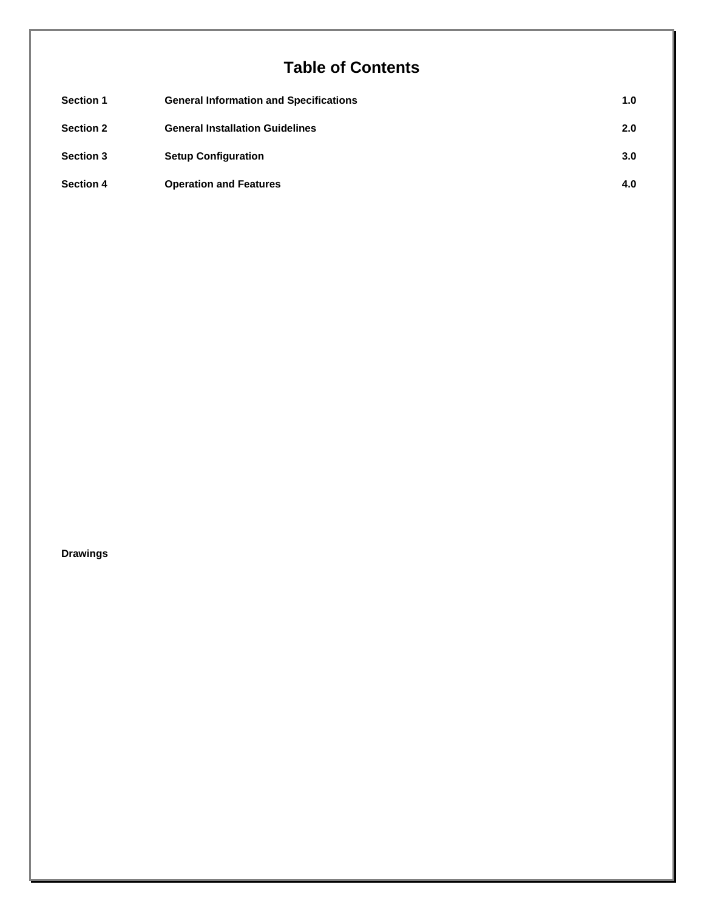## **Table of Contents**

| <b>Section 1</b> | <b>General Information and Specifications</b> | 1.0 |
|------------------|-----------------------------------------------|-----|
| <b>Section 2</b> | <b>General Installation Guidelines</b>        | 2.0 |
| <b>Section 3</b> | <b>Setup Configuration</b>                    | 3.0 |
| <b>Section 4</b> | <b>Operation and Features</b>                 | 4.0 |

#### **Drawings**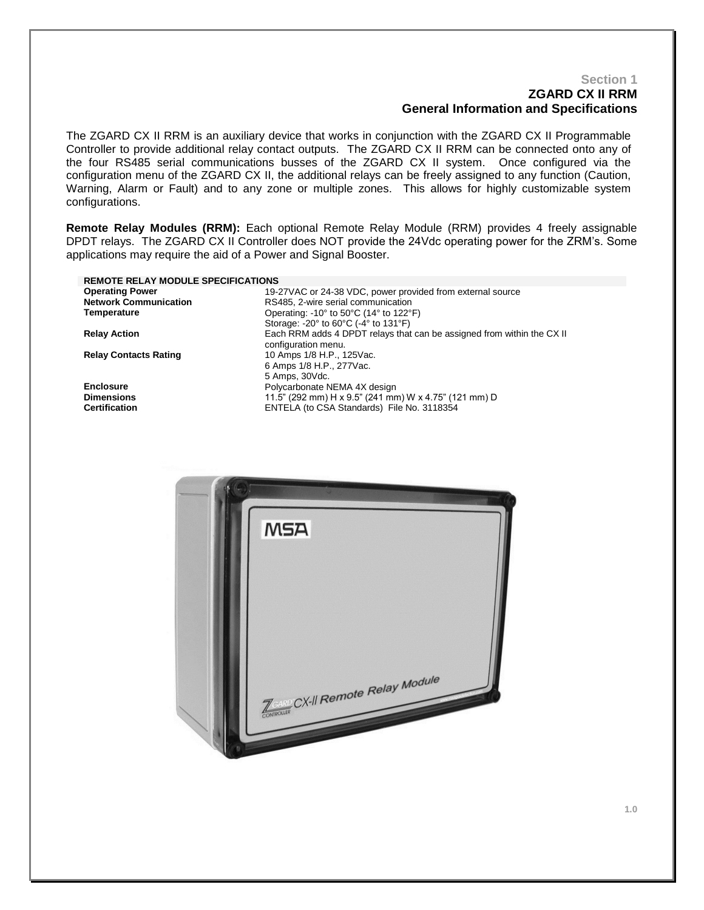#### **Section 1 ZGARD CX II RRM General Information and Specifications**

The ZGARD CX II RRM is an auxiliary device that works in conjunction with the ZGARD CX II Programmable Controller to provide additional relay contact outputs. The ZGARD CX II RRM can be connected onto any of the four RS485 serial communications busses of the ZGARD CX II system. Once configured via the configuration menu of the ZGARD CX II, the additional relays can be freely assigned to any function (Caution, Warning, Alarm or Fault) and to any zone or multiple zones. This allows for highly customizable system configurations.

**Remote Relay Modules (RRM):** Each optional Remote Relay Module (RRM) provides 4 freely assignable DPDT relays. The ZGARD CX II Controller does NOT provide the 24Vdc operating power for the ZRM's. Some applications may require the aid of a Power and Signal Booster.

| <b>REMOTE RELAY MODULE SPECIFICATIONS</b> |                                                                              |
|-------------------------------------------|------------------------------------------------------------------------------|
| <b>Operating Power</b>                    | 19-27VAC or 24-38 VDC, power provided from external source                   |
| <b>Network Communication</b>              | RS485, 2-wire serial communication                                           |
| Temperature                               | Operating: -10 $\degree$ to 50 $\degree$ C (14 $\degree$ to 122 $\degree$ F) |
|                                           | Storage: $-20^\circ$ to $60^\circ$ C ( $-4^\circ$ to 131 $^\circ$ F)         |
| <b>Relay Action</b>                       | Each RRM adds 4 DPDT relays that can be assigned from within the CX II       |
|                                           | configuration menu.                                                          |
| <b>Relay Contacts Rating</b>              | 10 Amps 1/8 H.P., 125 Vac.                                                   |
|                                           | 6 Amps 1/8 H.P., 277 Vac.                                                    |
|                                           | 5 Amps, 30 Vdc.                                                              |
| <b>Enclosure</b>                          | Polycarbonate NEMA 4X design                                                 |
| <b>Dimensions</b>                         | 11.5" (292 mm) H x 9.5" (241 mm) W x 4.75" (121 mm) D                        |
| <b>Certification</b>                      | ENTELA (to CSA Standards) File No. 3118354                                   |

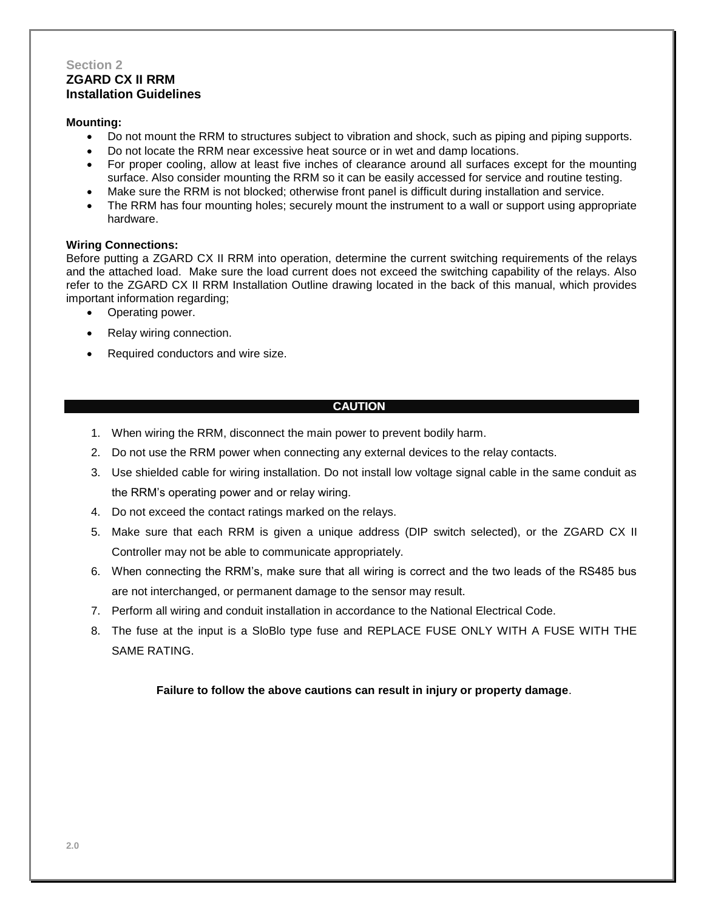#### **Section 2 ZGARD CX II RRM Installation Guidelines**

#### **Mounting:**

- Do not mount the RRM to structures subject to vibration and shock, such as piping and piping supports.
- Do not locate the RRM near excessive heat source or in wet and damp locations.
- For proper cooling, allow at least five inches of clearance around all surfaces except for the mounting surface. Also consider mounting the RRM so it can be easily accessed for service and routine testing.
- Make sure the RRM is not blocked; otherwise front panel is difficult during installation and service.
- The RRM has four mounting holes; securely mount the instrument to a wall or support using appropriate hardware.

#### **Wiring Connections:**

Before putting a ZGARD CX II RRM into operation, determine the current switching requirements of the relays and the attached load. Make sure the load current does not exceed the switching capability of the relays. Also refer to the ZGARD CX II RRM Installation Outline drawing located in the back of this manual, which provides important information regarding;

- Operating power.
- Relay wiring connection.
- Required conductors and wire size.

#### **CAUTION**

- 1. When wiring the RRM, disconnect the main power to prevent bodily harm.
- 2. Do not use the RRM power when connecting any external devices to the relay contacts.
- 3. Use shielded cable for wiring installation. Do not install low voltage signal cable in the same conduit as the RRM's operating power and or relay wiring.
- 4. Do not exceed the contact ratings marked on the relays.
- 5. Make sure that each RRM is given a unique address (DIP switch selected), or the ZGARD CX II Controller may not be able to communicate appropriately.
- 6. When connecting the RRM's, make sure that all wiring is correct and the two leads of the RS485 bus are not interchanged, or permanent damage to the sensor may result.
- 7. Perform all wiring and conduit installation in accordance to the National Electrical Code.
- 8. The fuse at the input is a SloBlo type fuse and REPLACE FUSE ONLY WITH A FUSE WITH THE SAME RATING.

**Failure to follow the above cautions can result in injury or property damage**.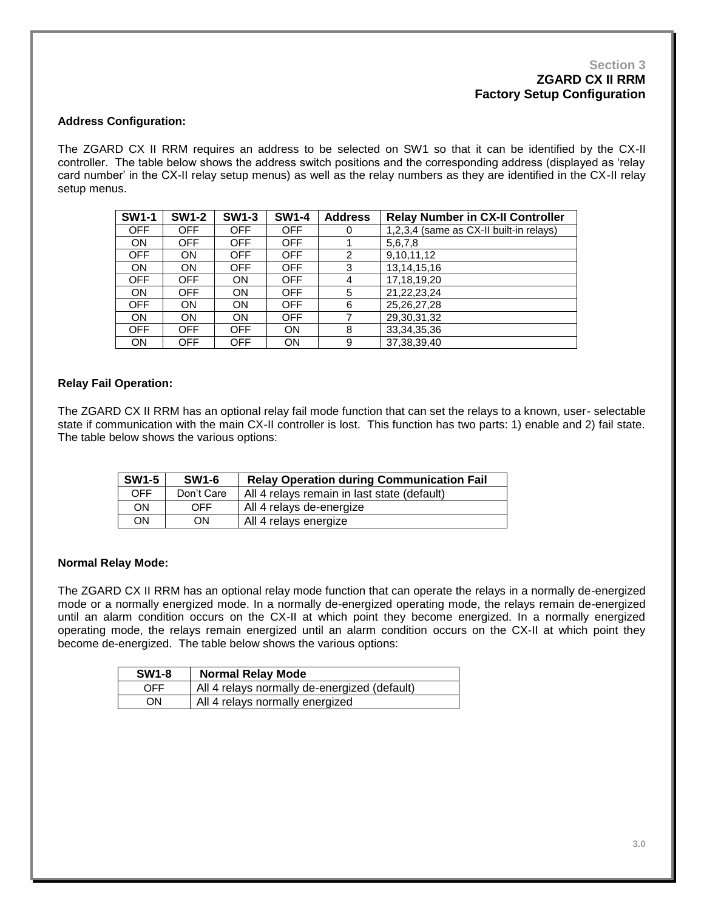#### **Section 3 ZGARD CX II RRM Factory Setup Configuration**

#### **Address Configuration:**

The ZGARD CX II RRM requires an address to be selected on SW1 so that it can be identified by the CX-II controller. The table below shows the address switch positions and the corresponding address (displayed as 'relay card number' in the CX-II relay setup menus) as well as the relay numbers as they are identified in the CX-II relay setup menus.

| <b>SW1-1</b> | <b>SW1-2</b> | <b>SW1-3</b> | <b>SW1-4</b> | <b>Address</b> | <b>Relay Number in CX-II Controller</b> |
|--------------|--------------|--------------|--------------|----------------|-----------------------------------------|
| <b>OFF</b>   | OFF.         | <b>OFF</b>   | <b>OFF</b>   | 0              | 1,2,3,4 (same as CX-II built-in relays) |
| <b>ON</b>    | <b>OFF</b>   | <b>OFF</b>   | <b>OFF</b>   |                | 5,6,7,8                                 |
| <b>OFF</b>   | ON           | OFF          | <b>OFF</b>   | 2              | 9,10,11,12                              |
| <b>ON</b>    | <b>ON</b>    | <b>OFF</b>   | <b>OFF</b>   | 3              | 13, 14, 15, 16                          |
| <b>OFF</b>   | <b>OFF</b>   | ON           | <b>OFF</b>   | 4              | 17,18,19,20                             |
| <b>ON</b>    | <b>OFF</b>   | <b>ON</b>    | <b>OFF</b>   | 5              | 21,22,23,24                             |
| <b>OFF</b>   | <b>ON</b>    | <b>ON</b>    | <b>OFF</b>   | 6              | 25, 26, 27, 28                          |
| <b>ON</b>    | <b>ON</b>    | ON           | <b>OFF</b>   |                | 29,30,31,32                             |
| <b>OFF</b>   | <b>OFF</b>   | <b>OFF</b>   | ON           | 8              | 33, 34, 35, 36                          |
| <b>ON</b>    | OFF          | <b>OFF</b>   | ON           | 9              | 37, 38, 39, 40                          |

#### **Relay Fail Operation:**

The ZGARD CX II RRM has an optional relay fail mode function that can set the relays to a known, user- selectable state if communication with the main CX-II controller is lost. This function has two parts: 1) enable and 2) fail state. The table below shows the various options:

| <b>SW1-5</b> | <b>SW1-6</b> | <b>Relay Operation during Communication Fail</b> |
|--------------|--------------|--------------------------------------------------|
| OFF          | Don't Care   | All 4 relays remain in last state (default)      |
| ΟN           | OFF          | All 4 relays de-energize                         |
| ΟN           | ON           | All 4 relays energize                            |

#### **Normal Relay Mode:**

The ZGARD CX II RRM has an optional relay mode function that can operate the relays in a normally de-energized mode or a normally energized mode. In a normally de-energized operating mode, the relays remain de-energized until an alarm condition occurs on the CX-II at which point they become energized. In a normally energized operating mode, the relays remain energized until an alarm condition occurs on the CX-II at which point they become de-energized. The table below shows the various options:

| <b>SW1-8</b> | <b>Normal Relay Mode</b>                     |
|--------------|----------------------------------------------|
| OFF          | All 4 relays normally de-energized (default) |
| ON           | All 4 relays normally energized              |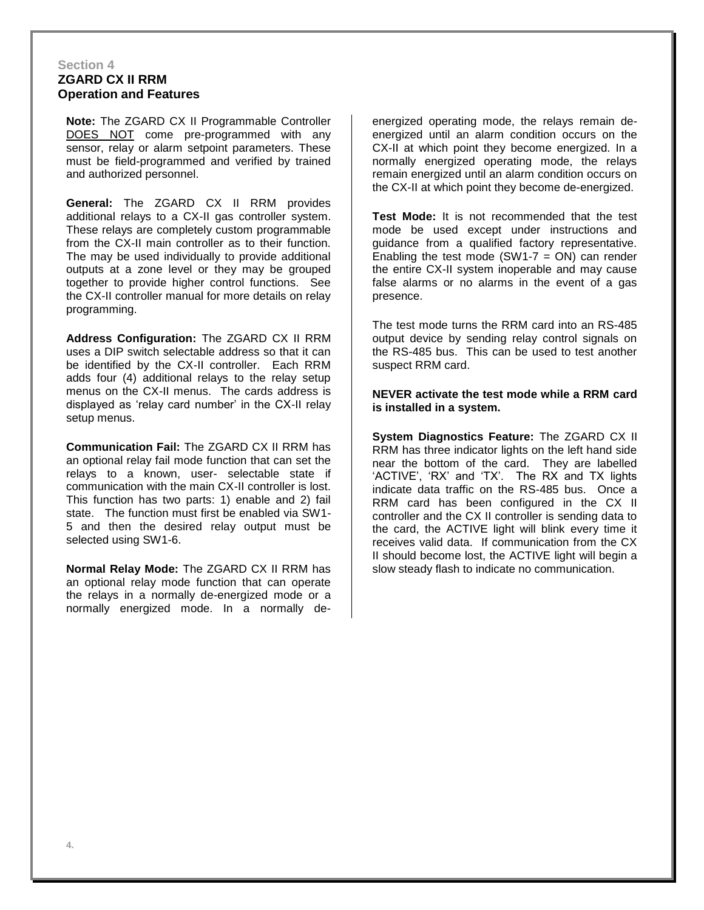#### **Section 4 ZGARD CX II RRM Operation and Features**

**Note:** The ZGARD CX II Programmable Controller DOES NOT come pre-programmed with any sensor, relay or alarm setpoint parameters. These must be field-programmed and verified by trained and authorized personnel.

**General:** The ZGARD CX II RRM provides additional relays to a CX-II gas controller system. These relays are completely custom programmable from the CX-II main controller as to their function. The may be used individually to provide additional outputs at a zone level or they may be grouped together to provide higher control functions. See the CX-II controller manual for more details on relay programming.

**Address Configuration:** The ZGARD CX II RRM uses a DIP switch selectable address so that it can be identified by the CX-II controller. Each RRM adds four (4) additional relays to the relay setup menus on the CX-II menus. The cards address is displayed as 'relay card number' in the CX-II relay setup menus.

**Communication Fail:** The ZGARD CX II RRM has an optional relay fail mode function that can set the relays to a known, user- selectable state if communication with the main CX-II controller is lost. This function has two parts: 1) enable and 2) fail state. The function must first be enabled via SW1- 5 and then the desired relay output must be selected using SW1-6.

**Normal Relay Mode:** The ZGARD CX II RRM has an optional relay mode function that can operate the relays in a normally de-energized mode or a normally energized mode. In a normally deenergized operating mode, the relays remain deenergized until an alarm condition occurs on the CX-II at which point they become energized. In a normally energized operating mode, the relays remain energized until an alarm condition occurs on the CX-II at which point they become de-energized.

**Test Mode:** It is not recommended that the test mode be used except under instructions and guidance from a qualified factory representative. Enabling the test mode  $(SW1-7 = ON)$  can render the entire CX-II system inoperable and may cause false alarms or no alarms in the event of a gas presence.

The test mode turns the RRM card into an RS-485 output device by sending relay control signals on the RS-485 bus. This can be used to test another suspect RRM card.

#### **NEVER activate the test mode while a RRM card is installed in a system.**

**System Diagnostics Feature:** The ZGARD CX II RRM has three indicator lights on the left hand side near the bottom of the card. They are labelled 'ACTIVE', 'RX' and 'TX'. The RX and TX lights indicate data traffic on the RS-485 bus. Once a RRM card has been configured in the CX II controller and the CX II controller is sending data to the card, the ACTIVE light will blink every time it receives valid data. If communication from the CX II should become lost, the ACTIVE light will begin a slow steady flash to indicate no communication.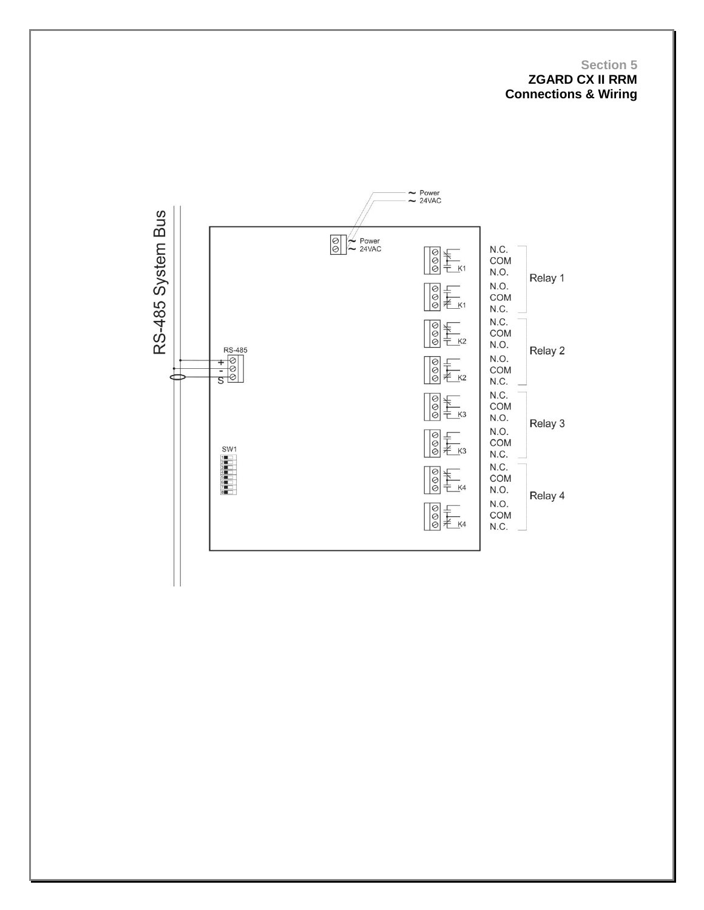#### **Section 5 ZGARD CX II RRM Connections & Wiring**

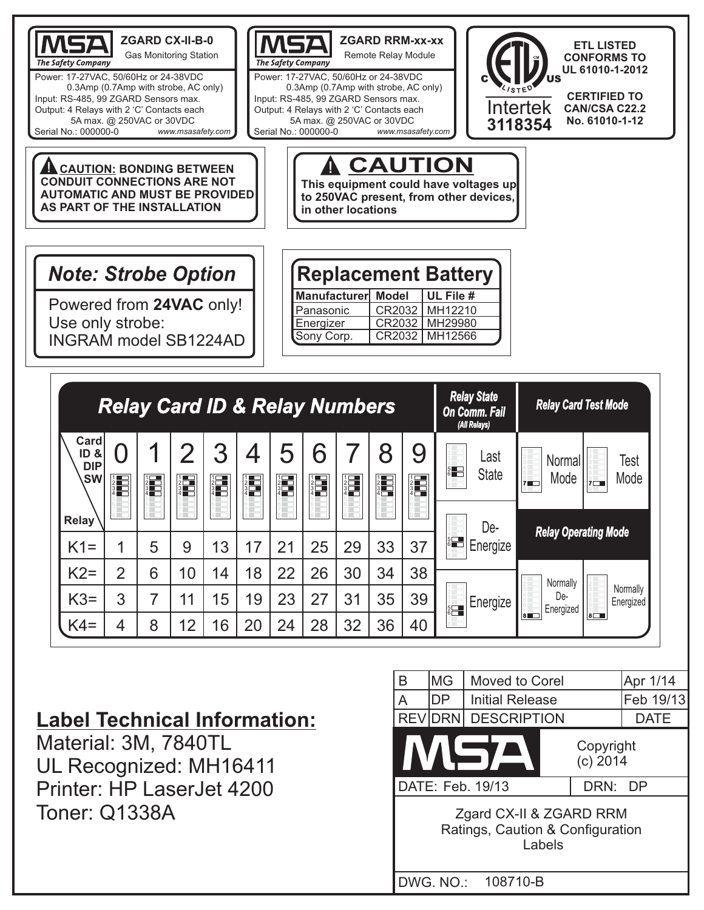

## **Label Technical Information:**

Material: 3M, 7840TL UL Recognized: MH16411 Printer: HP LaserJet 4200 Toner: Q1338A

1

5

9

13

17

21

25

29

33

37

5 6

4 5 6

De-**Energize** 

**Energize** 

8

38

39

40

34

35

36

30

31

32

26

27

28

22

23

24

18

19

20

14

15

16

10

11

12

6

7

8

 $K1=$ 

 $K2=$ 

 $K3=$ 

 $K4=$ 

2

3

4



**Normally** De-**Energized** 

8 7

**Normally** Energized

*Relay Card Operating Mode Relay Operating Mode*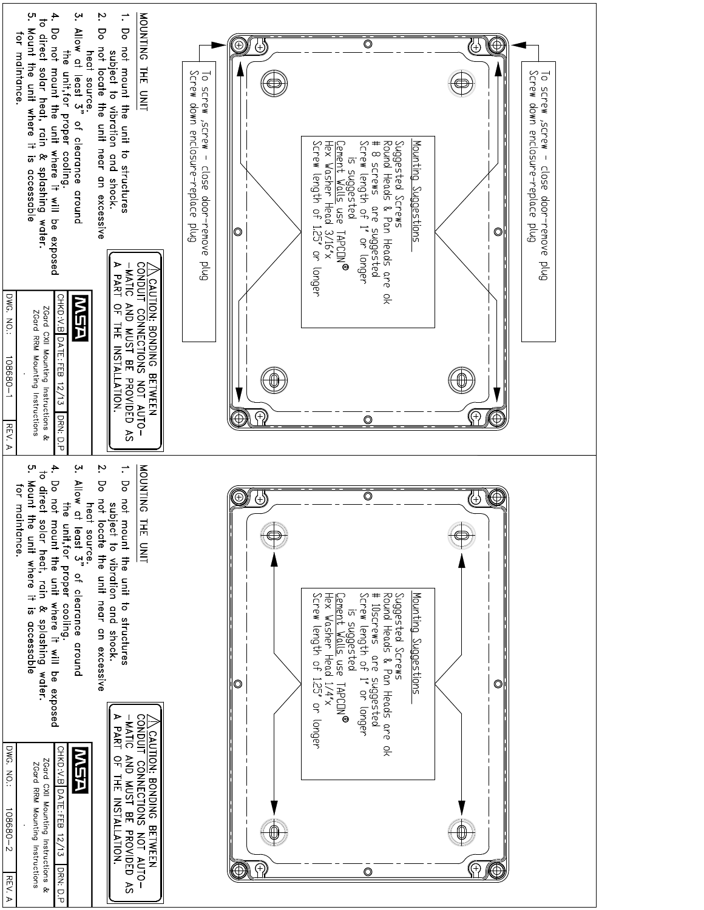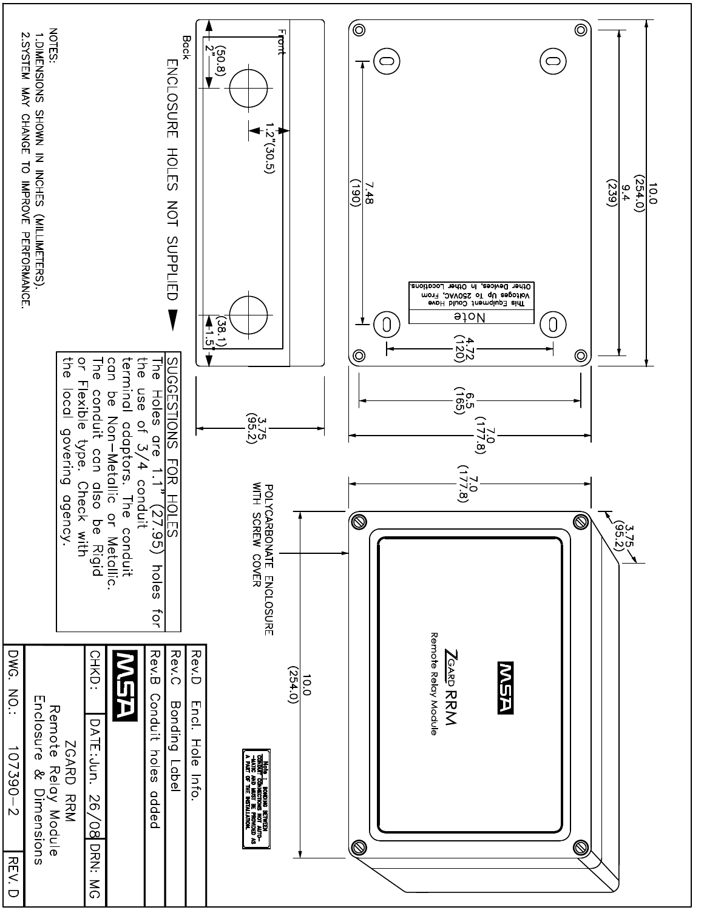